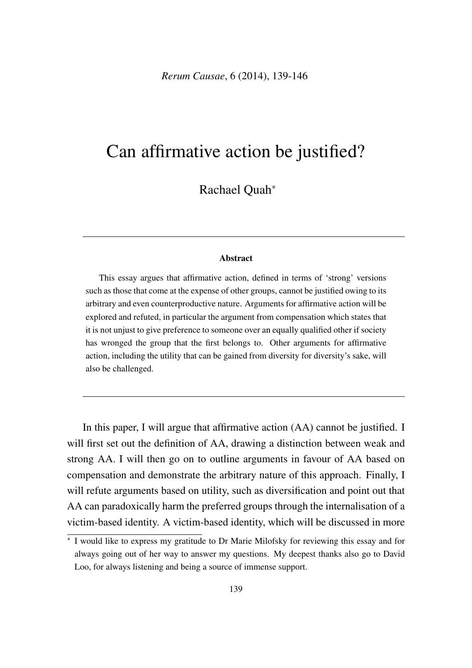*Rerum Causae*, 6 (2014), 139-146

# Can affirmative action be justified?

Rachael Quah<sup>\*</sup>

#### Abstract

This essay argues that affirmative action, defined in terms of 'strong' versions such as those that come at the expense of other groups, cannot be justified owing to its arbitrary and even counterproductive nature. Arguments for affirmative action will be explored and refuted, in particular the argument from compensation which states that it is not unjust to give preference to someone over an equally qualified other if society has wronged the group that the first belongs to. Other arguments for affirmative action, including the utility that can be gained from diversity for diversity's sake, will also be challenged.

In this paper, I will argue that affirmative action (AA) cannot be justified. I will first set out the definition of AA, drawing a distinction between weak and strong AA. I will then go on to outline arguments in favour of AA based on compensation and demonstrate the arbitrary nature of this approach. Finally, I will refute arguments based on utility, such as diversification and point out that AA can paradoxically harm the preferred groups through the internalisation of a victim-based identity. A victim-based identity, which will be discussed in more

<sup>⇤</sup> I would like to express my gratitude to Dr Marie Milofsky for reviewing this essay and for always going out of her way to answer my questions. My deepest thanks also go to David Loo, for always listening and being a source of immense support.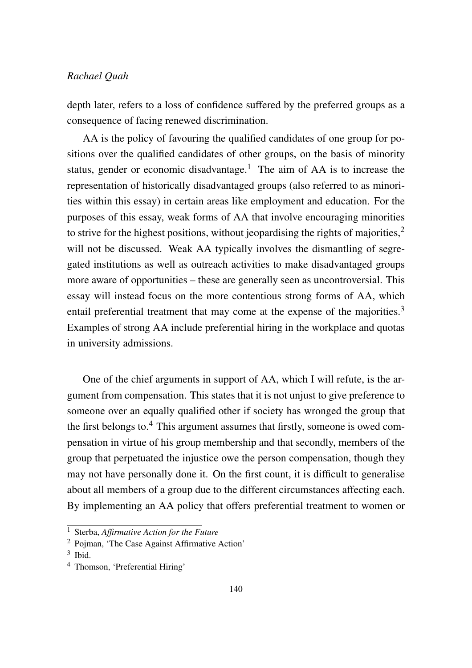depth later, refers to a loss of confidence suffered by the preferred groups as a consequence of facing renewed discrimination.

AA is the policy of favouring the qualified candidates of one group for positions over the qualified candidates of other groups, on the basis of minority status, gender or economic disadvantage.<sup>1</sup> The aim of AA is to increase the representation of historically disadvantaged groups (also referred to as minorities within this essay) in certain areas like employment and education. For the purposes of this essay, weak forms of AA that involve encouraging minorities to strive for the highest positions, without jeopardising the rights of majorities,  $2\pi$ will not be discussed. Weak AA typically involves the dismantling of segregated institutions as well as outreach activities to make disadvantaged groups more aware of opportunities – these are generally seen as uncontroversial. This essay will instead focus on the more contentious strong forms of AA, which entail preferential treatment that may come at the expense of the majorities.3 Examples of strong AA include preferential hiring in the workplace and quotas in university admissions.

One of the chief arguments in support of AA, which I will refute, is the argument from compensation. This states that it is not unjust to give preference to someone over an equally qualified other if society has wronged the group that the first belongs to.<sup>4</sup> This argument assumes that firstly, someone is owed compensation in virtue of his group membership and that secondly, members of the group that perpetuated the injustice owe the person compensation, though they may not have personally done it. On the first count, it is difficult to generalise about all members of a group due to the different circumstances affecting each. By implementing an AA policy that offers preferential treatment to women or

<sup>1</sup> Sterba, *Affirmative Action for the Future*

<sup>2</sup> Pojman, 'The Case Against Affirmative Action'

 $3$  Ibid.

<sup>4</sup> Thomson, 'Preferential Hiring'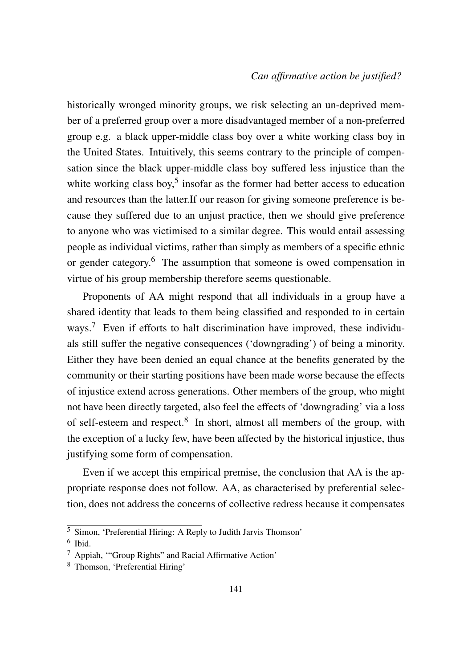historically wronged minority groups, we risk selecting an un-deprived member of a preferred group over a more disadvantaged member of a non-preferred group e.g. a black upper-middle class boy over a white working class boy in the United States. Intuitively, this seems contrary to the principle of compensation since the black upper-middle class boy suffered less injustice than the white working class boy,<sup>5</sup> insofar as the former had better access to education and resources than the latter.If our reason for giving someone preference is because they suffered due to an unjust practice, then we should give preference to anyone who was victimised to a similar degree. This would entail assessing people as individual victims, rather than simply as members of a specific ethnic or gender category.6 The assumption that someone is owed compensation in virtue of his group membership therefore seems questionable.

Proponents of AA might respond that all individuals in a group have a shared identity that leads to them being classified and responded to in certain ways.<sup>7</sup> Even if efforts to halt discrimination have improved, these individuals still suffer the negative consequences ('downgrading') of being a minority. Either they have been denied an equal chance at the benefits generated by the community or their starting positions have been made worse because the effects of injustice extend across generations. Other members of the group, who might not have been directly targeted, also feel the effects of 'downgrading' via a loss of self-esteem and respect. $8\,$  In short, almost all members of the group, with the exception of a lucky few, have been affected by the historical injustice, thus justifying some form of compensation.

Even if we accept this empirical premise, the conclusion that AA is the appropriate response does not follow. AA, as characterised by preferential selection, does not address the concerns of collective redress because it compensates

<sup>5</sup> Simon, 'Preferential Hiring: A Reply to Judith Jarvis Thomson'

<sup>6</sup> Ibid.

<sup>7</sup> Appiah, '"Group Rights" and Racial Affirmative Action'

<sup>8</sup> Thomson, 'Preferential Hiring'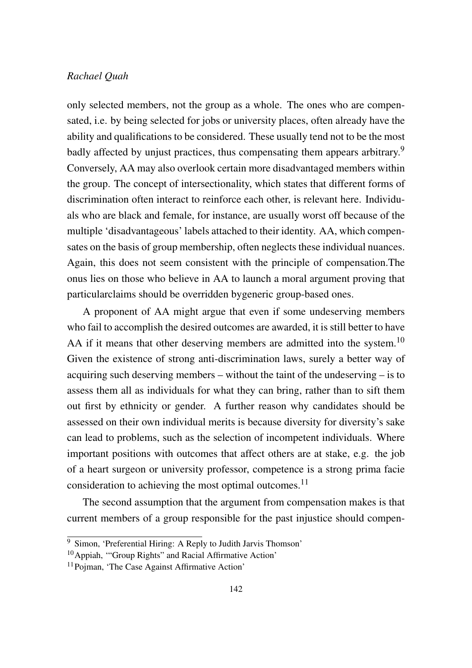only selected members, not the group as a whole. The ones who are compensated, i.e. by being selected for jobs or university places, often already have the ability and qualifications to be considered. These usually tend not to be the most badly affected by unjust practices, thus compensating them appears arbitrary.<sup>9</sup> Conversely, AA may also overlook certain more disadvantaged members within the group. The concept of intersectionality, which states that different forms of discrimination often interact to reinforce each other, is relevant here. Individuals who are black and female, for instance, are usually worst off because of the multiple 'disadvantageous' labels attached to their identity. AA, which compensates on the basis of group membership, often neglects these individual nuances. Again, this does not seem consistent with the principle of compensation.The onus lies on those who believe in AA to launch a moral argument proving that particularclaims should be overridden bygeneric group-based ones.

A proponent of AA might argue that even if some undeserving members who fail to accomplish the desired outcomes are awarded, it is still better to have AA if it means that other deserving members are admitted into the system.<sup>10</sup> Given the existence of strong anti-discrimination laws, surely a better way of acquiring such deserving members – without the taint of the undeserving – is to assess them all as individuals for what they can bring, rather than to sift them out first by ethnicity or gender. A further reason why candidates should be assessed on their own individual merits is because diversity for diversity's sake can lead to problems, such as the selection of incompetent individuals. Where important positions with outcomes that affect others are at stake, e.g. the job of a heart surgeon or university professor, competence is a strong prima facie consideration to achieving the most optimal outcomes.<sup>11</sup>

The second assumption that the argument from compensation makes is that current members of a group responsible for the past injustice should compen-

<sup>9</sup> Simon, 'Preferential Hiring: A Reply to Judith Jarvis Thomson'

<sup>&</sup>lt;sup>10</sup>Appiah, "Group Rights" and Racial Affirmative Action'

<sup>11</sup>Pojman, 'The Case Against Affirmative Action'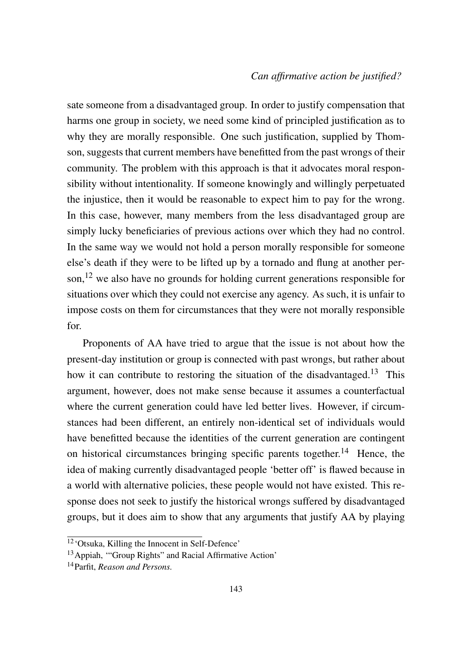sate someone from a disadvantaged group. In order to justify compensation that harms one group in society, we need some kind of principled justification as to why they are morally responsible. One such justification, supplied by Thomson, suggests that current members have benefitted from the past wrongs of their community. The problem with this approach is that it advocates moral responsibility without intentionality. If someone knowingly and willingly perpetuated the injustice, then it would be reasonable to expect him to pay for the wrong. In this case, however, many members from the less disadvantaged group are simply lucky beneficiaries of previous actions over which they had no control. In the same way we would not hold a person morally responsible for someone else's death if they were to be lifted up by a tornado and flung at another person,<sup>12</sup> we also have no grounds for holding current generations responsible for situations over which they could not exercise any agency. As such, it is unfair to impose costs on them for circumstances that they were not morally responsible for.

Proponents of AA have tried to argue that the issue is not about how the present-day institution or group is connected with past wrongs, but rather about how it can contribute to restoring the situation of the disadvantaged.<sup>13</sup> This argument, however, does not make sense because it assumes a counterfactual where the current generation could have led better lives. However, if circumstances had been different, an entirely non-identical set of individuals would have benefitted because the identities of the current generation are contingent on historical circumstances bringing specific parents together.<sup>14</sup> Hence, the idea of making currently disadvantaged people 'better off' is flawed because in a world with alternative policies, these people would not have existed. This response does not seek to justify the historical wrongs suffered by disadvantaged groups, but it does aim to show that any arguments that justify AA by playing

<sup>12&#</sup>x27;Otsuka, Killing the Innocent in Self-Defence'

<sup>&</sup>lt;sup>13</sup> Appiah, "Group Rights" and Racial Affirmative Action'

<sup>14</sup>Parfit, *Reason and Persons.*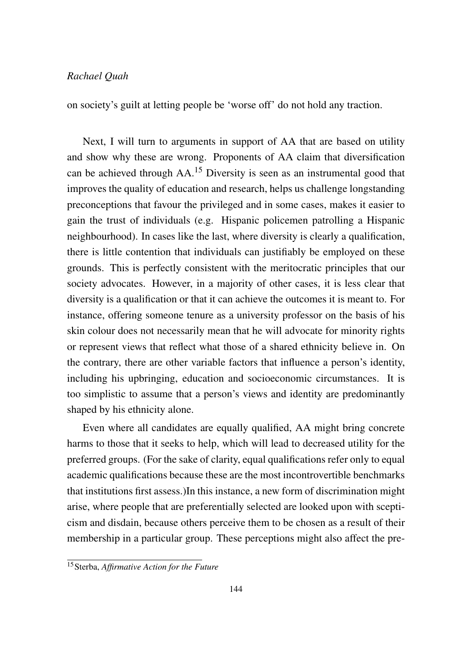on society's guilt at letting people be 'worse off' do not hold any traction.

Next, I will turn to arguments in support of AA that are based on utility and show why these are wrong. Proponents of AA claim that diversification can be achieved through AA.<sup>15</sup> Diversity is seen as an instrumental good that improves the quality of education and research, helps us challenge longstanding preconceptions that favour the privileged and in some cases, makes it easier to gain the trust of individuals (e.g. Hispanic policemen patrolling a Hispanic neighbourhood). In cases like the last, where diversity is clearly a qualification, there is little contention that individuals can justifiably be employed on these grounds. This is perfectly consistent with the meritocratic principles that our society advocates. However, in a majority of other cases, it is less clear that diversity is a qualification or that it can achieve the outcomes it is meant to. For instance, offering someone tenure as a university professor on the basis of his skin colour does not necessarily mean that he will advocate for minority rights or represent views that reflect what those of a shared ethnicity believe in. On the contrary, there are other variable factors that influence a person's identity, including his upbringing, education and socioeconomic circumstances. It is too simplistic to assume that a person's views and identity are predominantly shaped by his ethnicity alone.

Even where all candidates are equally qualified, AA might bring concrete harms to those that it seeks to help, which will lead to decreased utility for the preferred groups. (For the sake of clarity, equal qualifications refer only to equal academic qualifications because these are the most incontrovertible benchmarks that institutions first assess.)In this instance, a new form of discrimination might arise, where people that are preferentially selected are looked upon with scepticism and disdain, because others perceive them to be chosen as a result of their membership in a particular group. These perceptions might also affect the pre-

<sup>15</sup>Sterba, *Affirmative Action for the Future*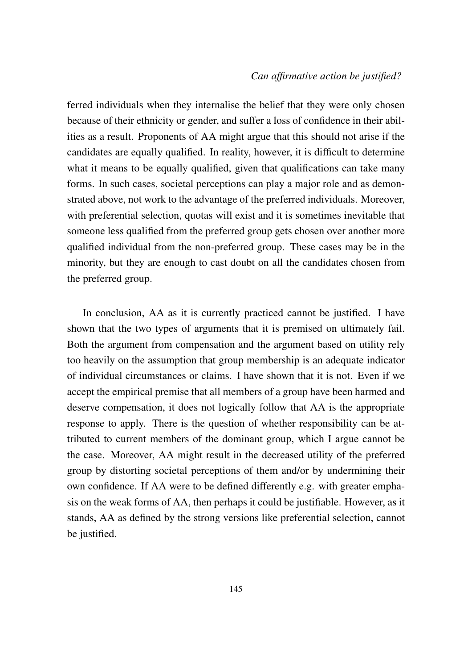ferred individuals when they internalise the belief that they were only chosen because of their ethnicity or gender, and suffer a loss of confidence in their abilities as a result. Proponents of AA might argue that this should not arise if the candidates are equally qualified. In reality, however, it is difficult to determine what it means to be equally qualified, given that qualifications can take many forms. In such cases, societal perceptions can play a major role and as demonstrated above, not work to the advantage of the preferred individuals. Moreover, with preferential selection, quotas will exist and it is sometimes inevitable that someone less qualified from the preferred group gets chosen over another more qualified individual from the non-preferred group. These cases may be in the minority, but they are enough to cast doubt on all the candidates chosen from the preferred group.

In conclusion, AA as it is currently practiced cannot be justified. I have shown that the two types of arguments that it is premised on ultimately fail. Both the argument from compensation and the argument based on utility rely too heavily on the assumption that group membership is an adequate indicator of individual circumstances or claims. I have shown that it is not. Even if we accept the empirical premise that all members of a group have been harmed and deserve compensation, it does not logically follow that AA is the appropriate response to apply. There is the question of whether responsibility can be attributed to current members of the dominant group, which I argue cannot be the case. Moreover, AA might result in the decreased utility of the preferred group by distorting societal perceptions of them and/or by undermining their own confidence. If AA were to be defined differently e.g. with greater emphasis on the weak forms of AA, then perhaps it could be justifiable. However, as it stands, AA as defined by the strong versions like preferential selection, cannot be justified.